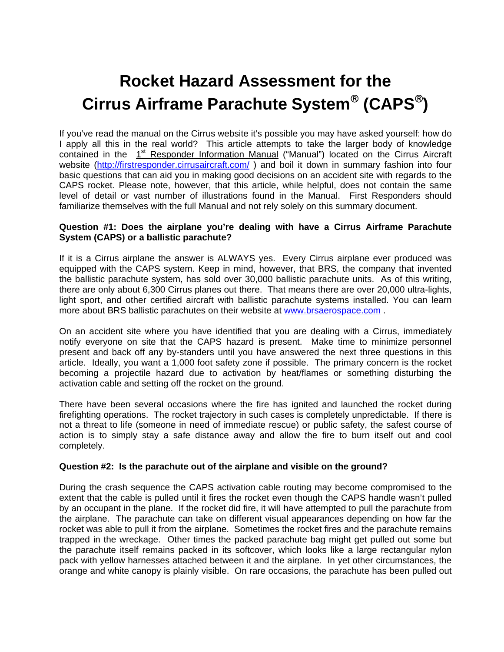# **Rocket Hazard Assessment for the Cirrus Airframe Parachute System (CAPS)**

If you've read the manual on the Cirrus website it's possible you may have asked yourself: how do I apply all this in the real world? This article attempts to take the larger body of knowledge contained in the 1<sup>st</sup> Responder Information Manual ("Manual") located on the Cirrus Aircraft website (http://firstresponder.cirrusaircraft.com/) and boil it down in summary fashion into four basic questions that can aid you in making good decisions on an accident site with regards to the CAPS rocket. Please note, however, that this article, while helpful, does not contain the same level of detail or vast number of illustrations found in the Manual. First Responders should familiarize themselves with the full Manual and not rely solely on this summary document.

## **Question #1: Does the airplane you're dealing with have a Cirrus Airframe Parachute System (CAPS) or a ballistic parachute?**

If it is a Cirrus airplane the answer is ALWAYS yes. Every Cirrus airplane ever produced was equipped with the CAPS system. Keep in mind, however, that BRS, the company that invented the ballistic parachute system, has sold over 30,000 ballistic parachute units. As of this writing, there are only about 6,300 Cirrus planes out there. That means there are over 20,000 ultra-lights, light sport, and other certified aircraft with ballistic parachute systems installed. You can learn more about BRS ballistic parachutes on their website at www.brsaerospace.com .

On an accident site where you have identified that you are dealing with a Cirrus, immediately notify everyone on site that the CAPS hazard is present. Make time to minimize personnel present and back off any by-standers until you have answered the next three questions in this article. Ideally, you want a 1,000 foot safety zone if possible. The primary concern is the rocket becoming a projectile hazard due to activation by heat/flames or something disturbing the activation cable and setting off the rocket on the ground.

There have been several occasions where the fire has ignited and launched the rocket during firefighting operations. The rocket trajectory in such cases is completely unpredictable. If there is not a threat to life (someone in need of immediate rescue) or public safety, the safest course of action is to simply stay a safe distance away and allow the fire to burn itself out and cool completely.

## **Question #2: Is the parachute out of the airplane and visible on the ground?**

During the crash sequence the CAPS activation cable routing may become compromised to the extent that the cable is pulled until it fires the rocket even though the CAPS handle wasn't pulled by an occupant in the plane. If the rocket did fire, it will have attempted to pull the parachute from the airplane. The parachute can take on different visual appearances depending on how far the rocket was able to pull it from the airplane. Sometimes the rocket fires and the parachute remains trapped in the wreckage. Other times the packed parachute bag might get pulled out some but the parachute itself remains packed in its softcover, which looks like a large rectangular nylon pack with yellow harnesses attached between it and the airplane. In yet other circumstances, the orange and white canopy is plainly visible. On rare occasions, the parachute has been pulled out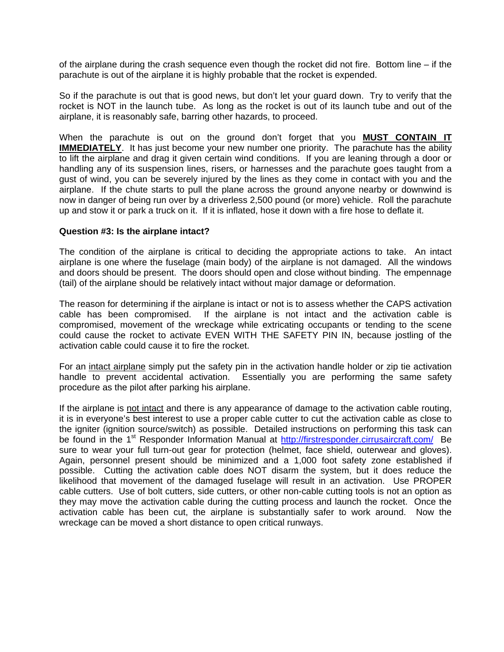of the airplane during the crash sequence even though the rocket did not fire. Bottom line – if the parachute is out of the airplane it is highly probable that the rocket is expended.

So if the parachute is out that is good news, but don't let your guard down. Try to verify that the rocket is NOT in the launch tube. As long as the rocket is out of its launch tube and out of the airplane, it is reasonably safe, barring other hazards, to proceed.

When the parachute is out on the ground don't forget that you **MUST CONTAIN IT IMMEDIATELY.** It has just become your new number one priority. The parachute has the ability to lift the airplane and drag it given certain wind conditions. If you are leaning through a door or handling any of its suspension lines, risers, or harnesses and the parachute goes taught from a gust of wind, you can be severely injured by the lines as they come in contact with you and the airplane. If the chute starts to pull the plane across the ground anyone nearby or downwind is now in danger of being run over by a driverless 2,500 pound (or more) vehicle. Roll the parachute up and stow it or park a truck on it. If it is inflated, hose it down with a fire hose to deflate it.

#### **Question #3: Is the airplane intact?**

The condition of the airplane is critical to deciding the appropriate actions to take. An intact airplane is one where the fuselage (main body) of the airplane is not damaged. All the windows and doors should be present. The doors should open and close without binding. The empennage (tail) of the airplane should be relatively intact without major damage or deformation.

The reason for determining if the airplane is intact or not is to assess whether the CAPS activation cable has been compromised. If the airplane is not intact and the activation cable is compromised, movement of the wreckage while extricating occupants or tending to the scene could cause the rocket to activate EVEN WITH THE SAFETY PIN IN, because jostling of the activation cable could cause it to fire the rocket.

For an intact airplane simply put the safety pin in the activation handle holder or zip tie activation handle to prevent accidental activation. Essentially you are performing the same safety procedure as the pilot after parking his airplane.

If the airplane is not intact and there is any appearance of damage to the activation cable routing, it is in everyone's best interest to use a proper cable cutter to cut the activation cable as close to the igniter (ignition source/switch) as possible. Detailed instructions on performing this task can be found in the 1<sup>st</sup> Responder Information Manual at http://firstresponder.cirrusaircraft.com/ Be sure to wear your full turn-out gear for protection (helmet, face shield, outerwear and gloves). Again, personnel present should be minimized and a 1,000 foot safety zone established if possible. Cutting the activation cable does NOT disarm the system, but it does reduce the likelihood that movement of the damaged fuselage will result in an activation. Use PROPER cable cutters. Use of bolt cutters, side cutters, or other non-cable cutting tools is not an option as they may move the activation cable during the cutting process and launch the rocket. Once the activation cable has been cut, the airplane is substantially safer to work around. Now the wreckage can be moved a short distance to open critical runways.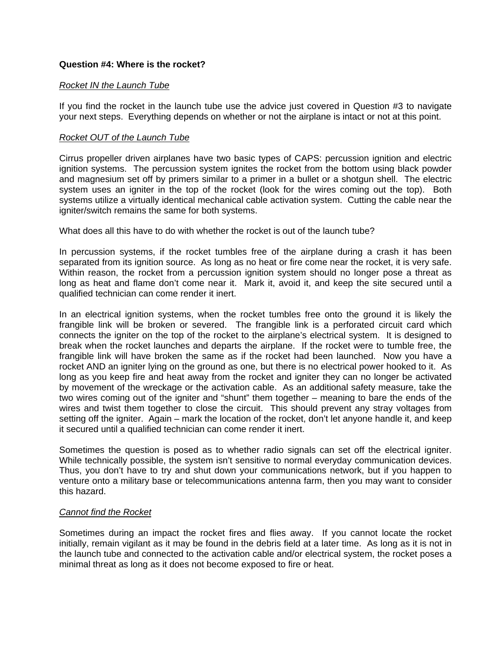## **Question #4: Where is the rocket?**

## *Rocket IN the Launch Tube*

If you find the rocket in the launch tube use the advice just covered in Question #3 to navigate your next steps. Everything depends on whether or not the airplane is intact or not at this point.

## *Rocket OUT of the Launch Tube*

Cirrus propeller driven airplanes have two basic types of CAPS: percussion ignition and electric ignition systems. The percussion system ignites the rocket from the bottom using black powder and magnesium set off by primers similar to a primer in a bullet or a shotgun shell. The electric system uses an igniter in the top of the rocket (look for the wires coming out the top). Both systems utilize a virtually identical mechanical cable activation system. Cutting the cable near the igniter/switch remains the same for both systems.

What does all this have to do with whether the rocket is out of the launch tube?

In percussion systems, if the rocket tumbles free of the airplane during a crash it has been separated from its ignition source. As long as no heat or fire come near the rocket, it is very safe. Within reason, the rocket from a percussion ignition system should no longer pose a threat as long as heat and flame don't come near it. Mark it, avoid it, and keep the site secured until a qualified technician can come render it inert.

In an electrical ignition systems, when the rocket tumbles free onto the ground it is likely the frangible link will be broken or severed. The frangible link is a perforated circuit card which connects the igniter on the top of the rocket to the airplane's electrical system. It is designed to break when the rocket launches and departs the airplane. If the rocket were to tumble free, the frangible link will have broken the same as if the rocket had been launched. Now you have a rocket AND an igniter lying on the ground as one, but there is no electrical power hooked to it. As long as you keep fire and heat away from the rocket and igniter they can no longer be activated by movement of the wreckage or the activation cable. As an additional safety measure, take the two wires coming out of the igniter and "shunt" them together – meaning to bare the ends of the wires and twist them together to close the circuit. This should prevent any stray voltages from setting off the igniter. Again – mark the location of the rocket, don't let anyone handle it, and keep it secured until a qualified technician can come render it inert.

Sometimes the question is posed as to whether radio signals can set off the electrical igniter. While technically possible, the system isn't sensitive to normal everyday communication devices. Thus, you don't have to try and shut down your communications network, but if you happen to venture onto a military base or telecommunications antenna farm, then you may want to consider this hazard.

## *Cannot find the Rocket*

Sometimes during an impact the rocket fires and flies away. If you cannot locate the rocket initially, remain vigilant as it may be found in the debris field at a later time. As long as it is not in the launch tube and connected to the activation cable and/or electrical system, the rocket poses a minimal threat as long as it does not become exposed to fire or heat.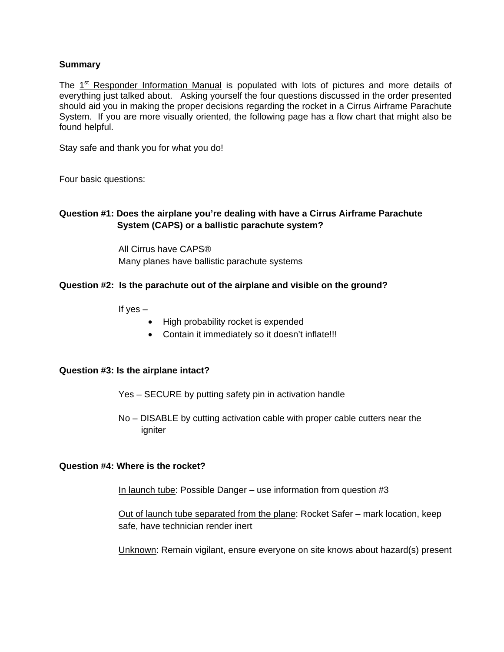## **Summary**

The  $1<sup>st</sup>$  Responder Information Manual is populated with lots of pictures and more details of everything just talked about. Asking yourself the four questions discussed in the order presented should aid you in making the proper decisions regarding the rocket in a Cirrus Airframe Parachute System. If you are more visually oriented, the following page has a flow chart that might also be found helpful.

Stay safe and thank you for what you do!

Four basic questions:

## **Question #1: Does the airplane you're dealing with have a Cirrus Airframe Parachute System (CAPS) or a ballistic parachute system?**

All Cirrus have CAPS® Many planes have ballistic parachute systems

## **Question #2: Is the parachute out of the airplane and visible on the ground?**

If yes  $-$ 

- High probability rocket is expended
- Contain it immediately so it doesn't inflate!!!

#### **Question #3: Is the airplane intact?**

- Yes SECURE by putting safety pin in activation handle
- No DISABLE by cutting activation cable with proper cable cutters near the igniter

#### **Question #4: Where is the rocket?**

In launch tube: Possible Danger – use information from question #3

 Out of launch tube separated from the plane: Rocket Safer – mark location, keep safe, have technician render inert

Unknown: Remain vigilant, ensure everyone on site knows about hazard(s) present